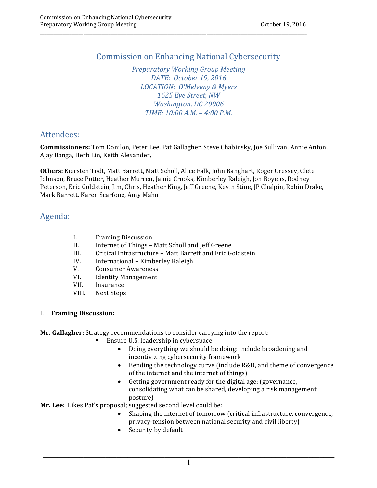# **Commission on Enhancing National Cybersecurity**

\_\_\_\_\_\_\_\_\_\_\_\_\_\_\_\_\_\_\_\_\_\_\_\_\_\_\_\_\_\_\_\_\_\_\_\_\_\_\_\_\_\_\_\_\_\_\_\_\_\_\_\_\_\_\_\_\_\_\_\_\_\_\_\_\_\_\_\_\_\_\_\_\_\_\_\_\_\_\_\_\_\_\_\_\_\_\_\_\_\_\_\_\_\_\_\_\_\_\_\_\_\_\_\_\_\_\_\_\_\_\_\_\_\_\_\_\_

 *Preparatory Working Group Meeting DATE: October 19, 2016 LOCATION: O'Melveny & Myers 1625 Eye Street, NW Washington, DC 20006 TIME: 10:00 A.M. – 4:00 P.M.*

## Attendees:

 **Commissioners:** Tom Donilon, Peter Lee, Pat Gallagher, Steve Chabinsky, Joe Sullivan, Annie Anton, Ajay Banga, Herb Lin, Keith Alexander,

 **Others:** Kiersten Todt, Matt Barrett, Matt Scholl, Alice Falk, John Banghart, Roger Cressey, Clete Johnson, Bruce Potter, Heather Murren, Jamie Crooks, Kimberley Raleigh, Jon Boyens, Rodney Peterson, Eric Goldstein, Jim, Chris, Heather King, Jeff Greene, Kevin Stine, JP Chalpin, Robin Drake, Mark Barrett, Karen Scarfone, Amy Mahn

## Agenda:

- I. Framing Discussion
- II. Internet of Things Matt Scholl and Jeff Greene
- III. Critical Infrastructure Matt Barrett and Eric Goldstein
- IV. International Kimberley Raleigh
- V. Consumer Awareness
- VI. Identity Management
- VII. Insurance
- VIII. Next Steps

### I. **Framing Discussion:**

Mr. Gallagher: Strategy recommendations to consider carrying into the report:

- Ensure U.S. leadership in cyberspace
	- Doing everything we should be doing: include broadening and incentivizing cybersecurity framework
	- • Bending the technology curve (include R&D, and theme of convergence of the internet and the internet of things)
	- • Getting government ready for the digital age: (governance, consolidating what can be shared, developing a risk management posture)

 **Mr. Lee:** Likes Pat's proposal; suggested second level could be:

- Shaping the internet of tomorrow (critical infrastructure, convergence, privacy-tension between national security and civil liberty)
- Security by default

 $\mathcal{L}_\mathcal{L} = \{ \mathcal{L}_\mathcal{L} = \{ \mathcal{L}_\mathcal{L} = \{ \mathcal{L}_\mathcal{L} = \{ \mathcal{L}_\mathcal{L} = \{ \mathcal{L}_\mathcal{L} = \{ \mathcal{L}_\mathcal{L} = \{ \mathcal{L}_\mathcal{L} = \{ \mathcal{L}_\mathcal{L} = \{ \mathcal{L}_\mathcal{L} = \{ \mathcal{L}_\mathcal{L} = \{ \mathcal{L}_\mathcal{L} = \{ \mathcal{L}_\mathcal{L} = \{ \mathcal{L}_\mathcal{L} = \{ \mathcal{L}_\mathcal{$ 1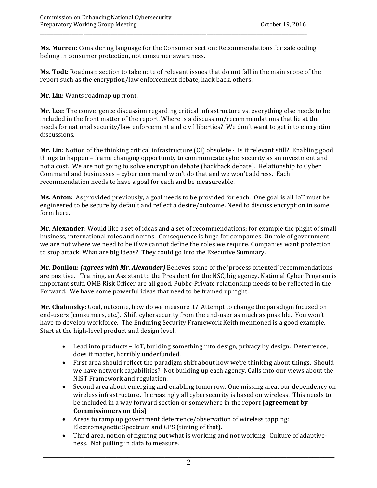**Ms. Murren:** Considering language for the Consumer section: Recommendations for safe coding belong in consumer protection, not consumer awareness.

 **Ms. Todt:** Roadmap section to take note of relevant issues that do not fall in the main scope of the report such as the encryption/law enforcement debate, hack back, others.

 **Mr. Lin:** Wants roadmap up front.

**Mr. Lee:** The convergence discussion regarding critical infrastructure vs. everything else needs to be included in the front matter of the report. Where is a discussion/recommendations that lie at the needs for national security/law enforcement and civil liberties? We don't want to get into encryption discussions.

**Mr. Lin:** Notion of the thinking critical infrastructure (CI) obsolete - Is it relevant still? Enabling good things to happen – frame changing opportunity to communicate cybersecurity as an investment and not a cost. We are not going to solve encryption debate (hackback debate). Relationship to Cyber Command and businesses - cyber command won't do that and we won't address. Each recommendation needs to have a goal for each and be measureable.

**Ms. Anton:** As provided previously, a goal needs to be provided for each. One goal is all IoT must be engineered to be secure by default and reflect a desire/outcome. Need to discuss encryption in some form here.

**Mr. Alexander**: Would like a set of ideas and a set of recommendations; for example the plight of small business, international roles and norms. Consequence is huge for companies. On role of government – we are not where we need to be if we cannot define the roles we require. Companies want protection to stop attack. What are big ideas? They could go into the Executive Summary.

 **Mr. Donilon:** *(agrees with Mr. Alexander)* Believes some of the 'process oriented' recommendations are positive. Training, an Assistant to the President for the NSC, big agency, National Cyber Program is important stuff, OMB Risk Officer are all good. Public-Private relationship needs to be reflected in the Forward. We have some powerful ideas that need to be framed up right.

 **Mr. Chabinsky:** Goal, outcome, how do we measure it? Attempt to change the paradigm focused on end-users (consumers, etc.). Shift cybersecurity from the end-user as much as possible. You won't have to develop workforce. The Enduring Security Framework Keith mentioned is a good example. Start at the high-level product and design level.

- Lead into products IoT, building something into design, privacy by design. Deterrence; does it matter, horribly underfunded.
- First area should reflect the paradigm shift about how we're thinking about things. Should we have network capabilities? Not building up each agency. Calls into our views about the NIST Framework and regulation.
- Second area about emerging and enabling tomorrow. One missing area, our dependency on wireless infrastructure. Increasingly all cybersecurity is based on wireless. This needs to be included in a way forward section or somewhere in the report **(agreement by Commissioners on this)**
- Areas to ramp up government deterrence/observation of wireless tapping: Electromagnetic Spectrum and GPS (timing of that).
- Third area, notion of figuring out what is working and not working. Culture of adaptiveness. Not pulling in data to measure.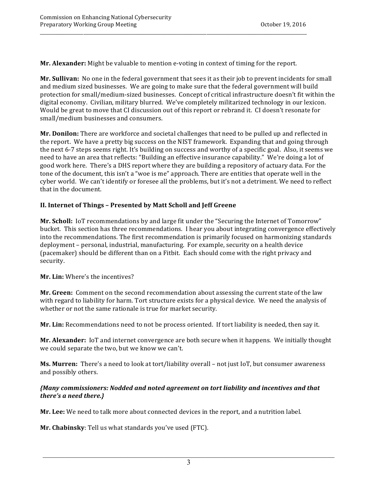**Mr. Alexander:** Might be valuable to mention e-voting in context of timing for the report.

\_\_\_\_\_\_\_\_\_\_\_\_\_\_\_\_\_\_\_\_\_\_\_\_\_\_\_\_\_\_\_\_\_\_\_\_\_\_\_\_\_\_\_\_\_\_\_\_\_\_\_\_\_\_\_\_\_\_\_\_\_\_\_\_\_\_\_\_\_\_\_\_\_\_\_\_\_\_\_\_\_\_\_\_\_\_\_\_\_\_\_\_\_\_\_\_\_\_\_\_\_\_\_\_\_\_\_\_\_\_\_\_\_\_\_\_\_

 **Mr. Sullivan:** No one in the federal government that sees it as their job to prevent incidents for small and medium sized businesses. We are going to make sure that the federal government will build protection for small/medium-sized businesses. Concept of critical infrastructure doesn't fit within the digital economy. Civilian, military blurred. We've completely militarized technology in our lexicon. Would be great to move that CI discussion out of this report or rebrand it. CI doesn't resonate for small/medium businesses and consumers.

**Mr. Donilon:** There are workforce and societal challenges that need to be pulled up and reflected in the report. We have a pretty big success on the NIST framework. Expanding that and going through the next 6-7 steps seems right. It's building on success and worthy of a specific goal. Also, it seems we need to have an area that reflects: "Building an effective insurance capability." We're doing a lot of good work here. There's a DHS report where they are building a repository of actuary data. For the tone of the document, this isn't a "woe is me" approach. There are entities that operate well in the cyber world. We can't identify or foresee all the problems, but it's not a detriment. We need to reflect that in the document.

## **II. Internet of Things – Presented by Matt Scholl and Jeff Greene**

**Mr. Scholl:** IoT recommendations by and large fit under the "Securing the Internet of Tomorrow" bucket. This section has three recommendations. I hear you about integrating convergence effectively into the recommendations. The first recommendation is primarily focused on harmonizing standards deployment – personal, industrial, manufacturing. For example, security on a health device (pacemaker) should be different than on a Fitbit. Each should come with the right privacy and security.

 **Mr. Lin:** Where's the incentives?

**Mr. Green:** Comment on the second recommendation about assessing the current state of the law with regard to liability for harm. Tort structure exists for a physical device. We need the analysis of whether or not the same rationale is true for market security.

Mr. Lin: Recommendations need to not be process oriented. If tort liability is needed, then say it.

**Mr. Alexander:** IoT and internet convergence are both secure when it happens. We initially thought we could separate the two, but we know we can't.

 **Ms. Murren:** There's a need to look at tort/liability overall – not just IoT, but consumer awareness and possibly others.

### *{Many commissioners: Nodded and noted agreement on tort liability and incentives and that there's a need there.}*

**Mr. Lee:** We need to talk more about connected devices in the report, and a nutrition label.

 **Mr. Chabinsky**: Tell us what standards you've used (FTC).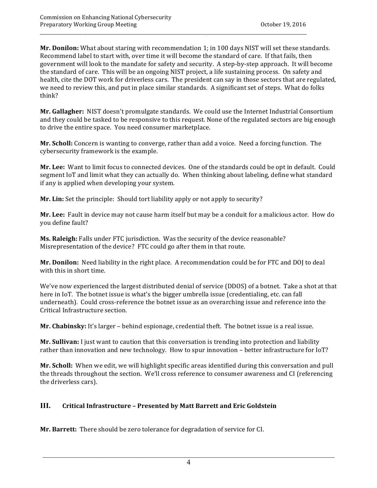**Mr. Donilon:** What about staring with recommendation 1; in 100 days NIST will set these standards. Recommend label to start with, over time it will become the standard of care. If that fails, then government will look to the mandate for safety and security. A step-by-step approach. It will become the standard of care. This will be an ongoing NIST project, a life sustaining process. On safety and health, cite the DOT work for driverless cars. The president can say in those sectors that are regulated, we need to review this, and put in place similar standards. A significant set of steps. What do folks think?

\_\_\_\_\_\_\_\_\_\_\_\_\_\_\_\_\_\_\_\_\_\_\_\_\_\_\_\_\_\_\_\_\_\_\_\_\_\_\_\_\_\_\_\_\_\_\_\_\_\_\_\_\_\_\_\_\_\_\_\_\_\_\_\_\_\_\_\_\_\_\_\_\_\_\_\_\_\_\_\_\_\_\_\_\_\_\_\_\_\_\_\_\_\_\_\_\_\_\_\_\_\_\_\_\_\_\_\_\_\_\_\_\_\_\_\_\_

 **Mr. Gallagher:** NIST doesn't promulgate standards. We could use the Internet Industrial Consortium and they could be tasked to be responsive to this request. None of the regulated sectors are big enough to drive the entire space. You need consumer marketplace.

**Mr. Scholl:** Concern is wanting to converge, rather than add a voice. Need a forcing function. The cybersecurity framework is the example.

 **Mr. Lee:** Want to limit focus to connected devices. One of the standards could be opt in default. Could segment IoT and limit what they can actually do. When thinking about labeling, define what standard if any is applied when developing your system.

**Mr. Lin:** Set the principle: Should tort liability apply or not apply to security?

**Mr. Lee:** Fault in device may not cause harm itself but may be a conduit for a malicious actor. How do you define fault?

**Ms. Raleigh:** Falls under FTC jurisdiction. Was the security of the device reasonable? Misrepresentation of the device? FTC could go after them in that route.

**Mr. Donilon:** Need liability in the right place. A recommendation could be for FTC and DOJ to deal with this in short time.

We've now experienced the largest distributed denial of service (DDOS) of a botnet. Take a shot at that here in IoT. The botnet issue is what's the bigger umbrella issue (credentialing, etc. can fall underneath). Could cross-reference the botnet issue as an overarching issue and reference into the Critical Infrastructure section.

 **Mr. Chabinsky:** It's larger – behind espionage, credential theft. The botnet issue is a real issue.

**Mr. Sullivan:** I just want to caution that this conversation is trending into protection and liability rather than innovation and new technology. How to spur innovation - better infrastructure for IoT?

**Mr. Scholl:** When we edit, we will highlight specific areas identified during this conversation and pull the threads throughout the section. We'll cross reference to consumer awareness and CI (referencing the driverless cars).

### **III. Critical Infrastructure – Presented by Matt Barrett and Eric Goldstein**

**Mr. Barrett:** There should be zero tolerance for degradation of service for CI.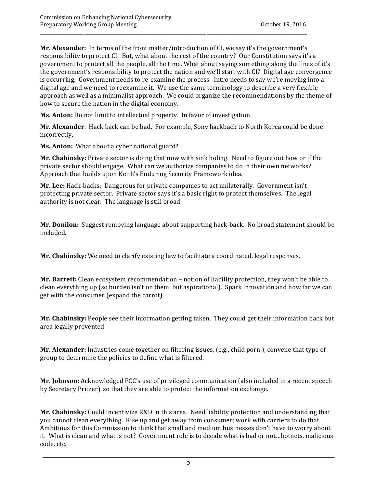**Mr. Alexander:** In terms of the front matter/introduction of CI, we say it's the government's responsibility to protect CI. But, what about the rest of the country? Our Constitution says it's a government to protect all the people, all the time. What about saying something along the lines of it's the government's responsibility to protect the nation and we'll start with CI? Digital age convergence is occurring. Government needs to re-examine the process. Intro needs to say we're moving into a digital age and we need to reexamine it. We use the same terminology to describe a very flexible approach as well as a minimalist approach. We could organize the recommendations by the theme of how to secure the nation in the digital economy.

\_\_\_\_\_\_\_\_\_\_\_\_\_\_\_\_\_\_\_\_\_\_\_\_\_\_\_\_\_\_\_\_\_\_\_\_\_\_\_\_\_\_\_\_\_\_\_\_\_\_\_\_\_\_\_\_\_\_\_\_\_\_\_\_\_\_\_\_\_\_\_\_\_\_\_\_\_\_\_\_\_\_\_\_\_\_\_\_\_\_\_\_\_\_\_\_\_\_\_\_\_\_\_\_\_\_\_\_\_\_\_\_\_\_\_\_\_

 **Ms. Anton:** Do not limit to intellectual property. In favor of investigation.

Mr. Alexander: Hack back can be bad. For example, Sony hackback to North Korea could be done incorrectly.

 **Ms. Anton:** What about a cyber national guard?

**Mr. Chabinsky:** Private sector is doing that now with sink holing. Need to figure out how or if the private sector should engage. What can we authorize companies to do in their own networks? Approach that builds upon Keith's Enduring Security Framework idea.

 **Mr. Lee:** Hack-backs: Dangerous for private companies to act unilaterally. Government isn't protecting private sector. Private sector says it's a basic right to protect themselves. The legal authority is not clear. The language is still broad.

 **Mr. Donilon:** Suggest removing language about supporting hack-back. No broad statement should be included.

 **Mr. Chabinsky:** We need to clarify existing law to facilitate a coordinated, legal responses.

**Mr. Barrett:** Clean ecosystem recommendation - notion of liability protection, they won't be able to clean everything up (so burden isn't on them, but aspirational). Spark innovation and how far we can get with the consumer (expand the carrot).

**Mr. Chabinsky:** People see their information getting taken. They could get their information back but area legally prevented.

Mr. Alexander: Industries come together on filtering issues, (e.g., child porn.), convene that type of group to determine the policies to define what is filtered.

Mr. **Johnson:** Acknowledged FCC's use of privileged communication (also included in a recent speech by Secretary Pritzer), so that they are able to protect the information exchange.

Mr. Chabinsky: Could incentivize R&D in this area. Need liability protection and understanding that you cannot clean everything. Rise up and get away from consumer; work with carriers to do that. Ambitious for this Commission to think that small and medium businesses don't have to worry about it. What is clean and what is not? Government role is to decide what is bad or not...botnets, malicious code, etc.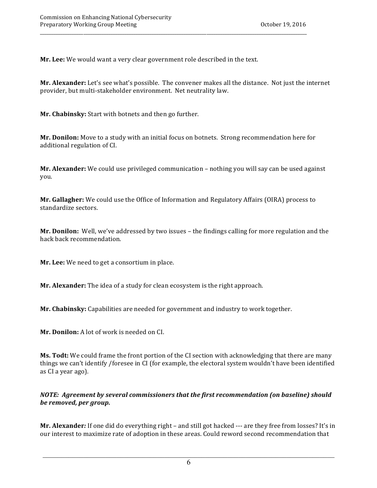**Mr. Lee:** We would want a very clear government role described in the text.

 **Mr. Alexander:** Let's see what's possible. The convener makes all the distance. Not just the internet provider, but multi-stakeholder environment. Net neutrality law.

\_\_\_\_\_\_\_\_\_\_\_\_\_\_\_\_\_\_\_\_\_\_\_\_\_\_\_\_\_\_\_\_\_\_\_\_\_\_\_\_\_\_\_\_\_\_\_\_\_\_\_\_\_\_\_\_\_\_\_\_\_\_\_\_\_\_\_\_\_\_\_\_\_\_\_\_\_\_\_\_\_\_\_\_\_\_\_\_\_\_\_\_\_\_\_\_\_\_\_\_\_\_\_\_\_\_\_\_\_\_\_\_\_\_\_\_\_

**Mr. Chabinsky:** Start with botnets and then go further.

**Mr. Donilon:** Move to a study with an initial focus on botnets. Strong recommendation here for additional regulation of CI.

**Mr. Alexander:** We could use privileged communication - nothing you will say can be used against you.

 **Mr. Gallagher:** We could use the Office of Information and Regulatory Affairs (OIRA) process to standardize sectors.

 **Mr. Donilon:** Well, we've addressed by two issues – the findings calling for more regulation and the hack back recommendation.

 **Mr. Lee:** We need to get a consortium in place.

**Mr. Alexander:** The idea of a study for clean ecosystem is the right approach.

**Mr. Chabinsky:** Capabilities are needed for government and industry to work together.

 **Mr. Donilon:** A lot of work is needed on CI.

 **Ms. Todt:** We could frame the front portion of the CI section with acknowledging that there are many things we can't identify /foresee in CI (for example, the electoral system wouldn't have been identified as CI a year ago).

 *NOTE: Agreement by several commissioners that the first recommendation (on baseline) should be removed, per group.*

**Mr. Alexander***:* If one did do everything right – and still got hacked --- are they free from losses? It's in our interest to maximize rate of adoption in these areas. Could reword second recommendation that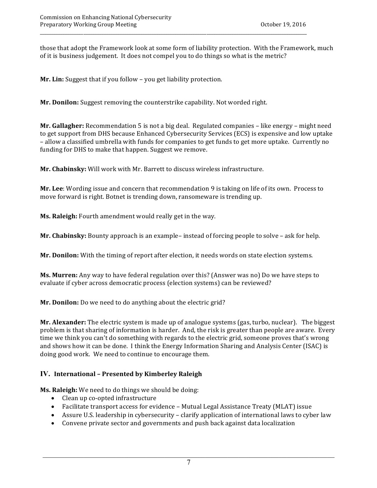those that adopt the Framework look at some form of liability protection. With the Framework, much of it is business judgement. It does not compel you to do things so what is the metric?

**Mr. Lin:** Suggest that if you follow - you get liability protection.

**Mr. Donilon:** Suggest removing the counterstrike capability. Not worded right.

 **Mr. Gallagher:** Recommendation 5 is not a big deal. Regulated companies – like energy – might need to get support from DHS because Enhanced Cybersecurity Services (ECS) is expensive and low uptake – allow a classified umbrella with funds for companies to get funds to get more uptake. Currently no funding for DHS to make that happen. Suggest we remove.

 **Mr. Chabinsky:** Will work with Mr. Barrett to discuss wireless infrastructure.

Mr. Lee: Wording issue and concern that recommendation 9 is taking on life of its own. Process to move forward is right. Botnet is trending down, ransomeware is trending up.

**Ms. Raleigh:** Fourth amendment would really get in the way.

**Mr. Chabinsky:** Bounty approach is an example– instead of forcing people to solve – ask for help.

 **Mr. Donilon:** With the timing of report after election, it needs words on state election systems.

**Ms. Murren:** Any way to have federal regulation over this? (Answer was no) Do we have steps to evaluate if cyber across democratic process (election systems) can be reviewed?

 **Mr. Donilon:** Do we need to do anything about the electric grid?

**Mr. Alexander:** The electric system is made up of analogue systems (gas, turbo, nuclear). The biggest problem is that sharing of information is harder. And, the risk is greater than people are aware. Every time we think you can't do something with regards to the electric grid, someone proves that's wrong and shows how it can be done. I think the Energy Information Sharing and Analysis Center (ISAC) is doing good work. We need to continue to encourage them.

## **IV. International – Presented by Kimberley Raleigh**

**Ms. Raleigh:** We need to do things we should be doing:

- Clean up co-opted infrastructure
- Facilitate transport access for evidence Mutual Legal Assistance Treaty (MLAT) issue
- Assure U.S. leadership in cybersecurity clarify application of international laws to cyber law
- Convene private sector and governments and push back against data localization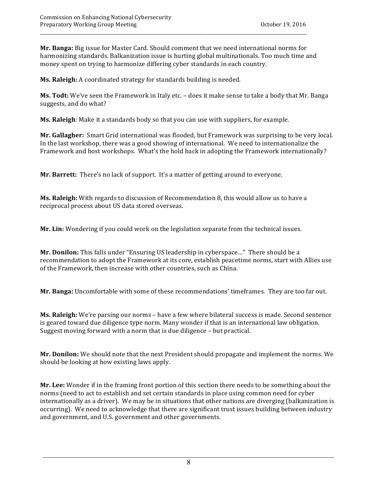**Mr. Banga:** Big issue for Master Card. Should comment that we need international norms for harmonizing standards. Balkanization issue is hurting global multinationals. Too much time and money spent on trying to harmonize differing cyber standards in each country.

**Ms. Raleigh:** A coordinated strategy for standards building is needed.

**Ms. Todt:** We've seen the Framework in Italy etc. - does it make sense to take a body that Mr. Banga suggests, and do what?

**Ms. Raleigh**: Make it a standards body so that you can use with suppliers, for example.

Mr. Gallagher: Smart Grid international was flooded, but Framework was surprising to be very local. In the last workshop, there was a good showing of international. We need to internationalize the Framework and host workshops. What's the hold back in adopting the Framework internationally?

 **Mr. Barrett:** There's no lack of support. It's a matter of getting around to everyone.

**Ms. Raleigh:** With regards to discussion of Recommendation 8, this would allow us to have a reciprocal process about US data stored overseas.

 **Mr. Lin:** Wondering if you could work on the legislation separate from the technical issues.

**Mr. Donilon:** This falls under "Ensuring US leadership in cyberspace…" There should be a recommendation to adopt the Framework at its core, establish peacetime norms, start with Allies use of the Framework, then increase with other countries, such as China.

 **Mr. Banga:** Uncomfortable with some of these recommendations' timeframes. They are too far out.

**Ms. Raleigh:** We're parsing our norms – have a few where bilateral success is made. Second sentence is geared toward due diligence type norm. Many wonder if that is an international law obligation. Suggest moving forward with a norm that is due diligence - but practical.

Mr. Donilon: We should note that the next President should propagate and implement the norms. We should be looking at how existing laws apply.

Mr. Lee: Wonder if in the framing front portion of this section there needs to be something about the norms (need to act to establish and set certain standards in place using common need for cyber internationally as a driver). We may be in situations that other nations are diverging (balkanization is occurring). We need to acknowledge that there are significant trust issues building between industry and government, and U.S. government and other governments.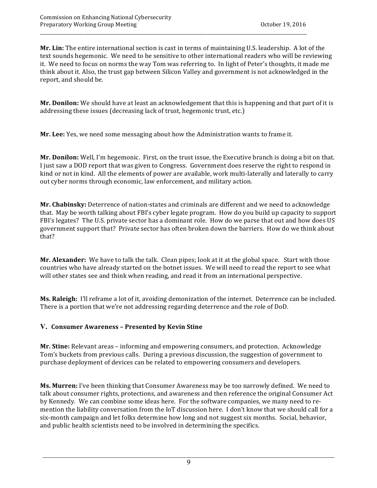**Mr. Lin:** The entire international section is cast in terms of maintaining U.S. leadership. A lot of the text sounds hegemonic. We need to be sensitive to other international readers who will be reviewing it. We need to focus on norms the way Tom was referring to. In light of Peter's thoughts, it made me think about it. Also, the trust gap between Silicon Valley and government is not acknowledged in the report, and should be.

\_\_\_\_\_\_\_\_\_\_\_\_\_\_\_\_\_\_\_\_\_\_\_\_\_\_\_\_\_\_\_\_\_\_\_\_\_\_\_\_\_\_\_\_\_\_\_\_\_\_\_\_\_\_\_\_\_\_\_\_\_\_\_\_\_\_\_\_\_\_\_\_\_\_\_\_\_\_\_\_\_\_\_\_\_\_\_\_\_\_\_\_\_\_\_\_\_\_\_\_\_\_\_\_\_\_\_\_\_\_\_\_\_\_\_\_\_

**Mr. Donilon:** We should have at least an acknowledgement that this is happening and that part of it is addressing these issues (decreasing lack of trust, hegemonic trust, etc.)

 **Mr. Lee:** Yes, we need some messaging about how the Administration wants to frame it.

**Mr. Donilon:** Well, I'm hegemonic. First, on the trust issue, the Executive branch is doing a bit on that. I just saw a DOD report that was given to Congress. Government does reserve the right to respond in kind or not in kind. All the elements of power are available, work multi-laterally and laterally to carry out cyber norms through economic, law enforcement, and military action.

**Mr. Chabinsky:** Deterrence of nation-states and criminals are different and we need to acknowledge that. May be worth talking about FBI's cyber legate program. How do you build up capacity to support FBI's legates? The U.S. private sector has a dominant role. How do we parse that out and how does US government support that? Private sector has often broken down the barriers. How do we think about that?

**Mr. Alexander:** We have to talk the talk. Clean pipes; look at it at the global space. Start with those countries who have already started on the botnet issues. We will need to read the report to see what will other states see and think when reading, and read it from an international perspective.

Ms. Raleigh: I'll reframe a lot of it, avoiding demonization of the internet. Deterrence can be included. There is a portion that we're not addressing regarding deterrence and the role of DoD.

## **V. Consumer Awareness – Presented by Kevin Stine**

**Mr. Stine:** Relevant areas - informing and empowering consumers, and protection. Acknowledge Tom's buckets from previous calls. During a previous discussion, the suggestion of government to purchase deployment of devices can be related to empowering consumers and developers.

**Ms. Murren:** I've been thinking that Consumer Awareness may be too narrowly defined. We need to talk about consumer rights, protections, and awareness and then reference the original Consumer Act by Kennedy. We can combine some ideas here. For the software companies, we many need to remention the liability conversation from the IoT discussion here. I don't know that we should call for a six-month campaign and let folks determine how long and not suggest six months. Social, behavior, and public health scientists need to be involved in determining the specifics.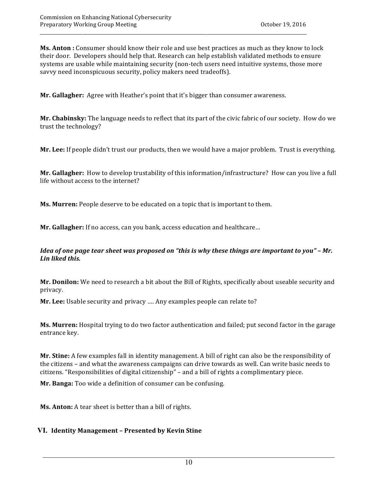**Ms. Anton** : Consumer should know their role and use best practices as much as they know to lock their door. Developers should help that. Research can help establish validated methods to ensure systems are usable while maintaining security (non-tech users need intuitive systems, those more savvy need inconspicuous security, policy makers need tradeoffs).

\_\_\_\_\_\_\_\_\_\_\_\_\_\_\_\_\_\_\_\_\_\_\_\_\_\_\_\_\_\_\_\_\_\_\_\_\_\_\_\_\_\_\_\_\_\_\_\_\_\_\_\_\_\_\_\_\_\_\_\_\_\_\_\_\_\_\_\_\_\_\_\_\_\_\_\_\_\_\_\_\_\_\_\_\_\_\_\_\_\_\_\_\_\_\_\_\_\_\_\_\_\_\_\_\_\_\_\_\_\_\_\_\_\_\_\_\_

**Mr. Gallagher:** Agree with Heather's point that it's bigger than consumer awareness.

 **Mr. Chabinsky:** The language needs to reflect that its part of the civic fabric of our society. How do we  trust the technology?

**Mr. Lee:** If people didn't trust our products, then we would have a major problem. Trust is everything.

**Mr. Gallagher:** How to develop trustability of this information/infrastructure? How can you live a full life without access to the internet?

**Ms. Murren:** People deserve to be educated on a topic that is important to them.

**Mr. Gallagher:** If no access, can you bank, access education and healthcare...

#### Idea of one page tear sheet was proposed on "this is why these things are important to you" – Mr.  *Lin liked this.*

 **Mr. Donilon:** We need to research a bit about the Bill of Rights, specifically about useable security and  privacy.

**Mr. Lee:** Usable security and privacy .... Any examples people can relate to?

**Ms. Murren:** Hospital trying to do two factor authentication and failed; put second factor in the garage  entrance key.

**Mr. Stine:** A few examples fall in identity management. A bill of right can also be the responsibility of the citizens – and what the awareness campaigns can drive towards as well. Can write basic needs to citizens. "Responsibilities of digital citizenship" - and a bill of rights a complimentary piece.

**Mr. Banga:** Too wide a definition of consumer can be confusing.

**Ms. Anton:** A tear sheet is better than a bill of rights.

### **VI. Identity Management – Presented by Kevin Stine**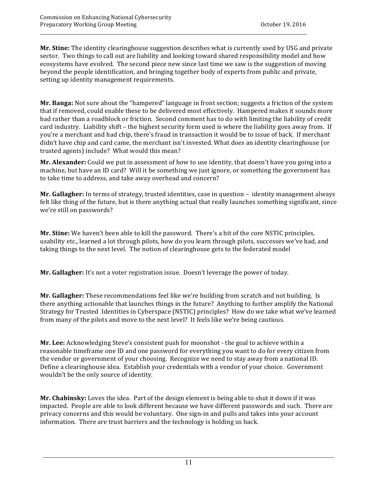**Mr. Stine:** The identity clearinghouse suggestion describes what is currently used by USG and private sector. Two things to call out are liability and looking toward shared responsibility model and how ecosystems have evolved. The second piece new since last time we saw is the suggestion of moving beyond the people identification, and bringing together body of experts from public and private, setting up identity management requirements.

\_\_\_\_\_\_\_\_\_\_\_\_\_\_\_\_\_\_\_\_\_\_\_\_\_\_\_\_\_\_\_\_\_\_\_\_\_\_\_\_\_\_\_\_\_\_\_\_\_\_\_\_\_\_\_\_\_\_\_\_\_\_\_\_\_\_\_\_\_\_\_\_\_\_\_\_\_\_\_\_\_\_\_\_\_\_\_\_\_\_\_\_\_\_\_\_\_\_\_\_\_\_\_\_\_\_\_\_\_\_\_\_\_\_\_\_\_

**Mr. Banga:** Not sure about the "hampered" language in front section; suggests a friction of the system that if removed, could enable these to be delivered most effectively. Hampered makes it sounds more bad rather than a roadblock or friction. Second comment has to do with limiting the liability of credit card industry. Liability shift – the highest security form used is where the liability goes away from. If you're a merchant and had chip, there's fraud in transaction it would be to issue of back. If merchant didn't have chip and card came, the merchant isn't invested. What does an identity clearinghouse (or trusted agents) include? What would this mean?

**Mr. Alexander:** Could we put in assessment of how to use identity, that doesn't have you going into a machine, but have an ID card? Will it be something we just ignore, or something the government has to take time to address, and take away overhead and concern?

 **Mr. Gallagher:** In terms of strategy, trusted identities, case in question – identity management always felt like thing of the future, but is there anything actual that really launches something significant, since we're still on passwords?

 **Mr. Stine:** We haven't been able to kill the password. There's a bit of the core NSTIC principles, usability etc., learned a lot through pilots, how do you learn through pilots, successes we've had, and taking things to the next level. The notion of clearinghouse gets to the federated model

**Mr. Gallagher:** It's not a voter registration issue. Doesn't leverage the power of today.

 **Mr. Gallagher:** These recommendations feel like we're building from scratch and not building. Is there anything actionable that launches things in the future? Anything to further amplify the National Strategy for Trusted Identities in Cyberspace (NSTIC) principles? How do we take what we've learned from many of the pilots and move to the next level? It feels like we're being cautious.

**Mr. Lee:** Acknowledging Steve's consistent push for moonshot - the goal to achieve within a reasonable timeframe one ID and one password for everything you want to do for every citizen from the vendor or government of your choosing. Recognize we need to stay away from a national ID. Define a clearinghouse idea. Establish your credentials with a vendor of your choice. Government  wouldn't be the only source of identity.

Mr. Chabinsky: Loves the idea. Part of the design element is being able to shut it down if it was impacted. People are able to look different because we have different passwords and such. There are privacy concerns and this would be voluntary. One sign-in and pulls and takes into your account information. There are trust barriers and the technology is holding us back.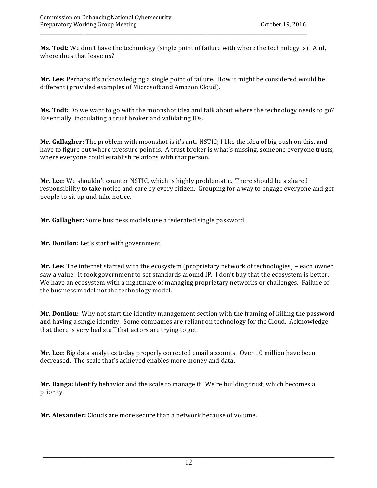**Ms. Todt:** We don't have the technology (single point of failure with where the technology is). And, where does that leave us?

**Mr. Lee:** Perhaps it's acknowledging a single point of failure. How it might be considered would be  different (provided examples of Microsoft and Amazon Cloud).

 **Ms. Todt:** Do we want to go with the moonshot idea and talk about where the technology needs to go? Essentially, inoculating a trust broker and validating IDs.

**Mr. Gallagher:** The problem with moonshot is it's anti-NSTIC; I like the idea of big push on this, and have to figure out where pressure point is. A trust broker is what's missing, someone everyone trusts, where everyone could establish relations with that person.

**Mr. Lee:** We shouldn't counter NSTIC, which is highly problematic. There should be a shared responsibility to take notice and care by every citizen. Grouping for a way to engage everyone and get  people to sit up and take notice.

 **Mr. Gallagher:** Some business models use a federated single password.

**Mr. Donilon:** Let's start with government.

 **Mr. Lee:** The internet started with the ecosystem (proprietary network of technologies) – each owner saw a value. It took government to set standards around IP. I don't buy that the ecosystem is better. We have an ecosystem with a nightmare of managing proprietary networks or challenges. Failure of  the business model not the technology model.

**Mr. Donilon:** Why not start the identity management section with the framing of killing the password and having a single identity. Some companies are reliant on technology for the Cloud. Acknowledge that there is very bad stuff that actors are trying to get.

**Mr. Lee:** Big data analytics today properly corrected email accounts. Over 10 million have been decreased. The scale that's achieved enables more money and data.

 **Mr. Banga:** Identify behavior and the scale to manage it. We're building trust, which becomes a priority.

**Mr. Alexander:** Clouds are more secure than a network because of volume.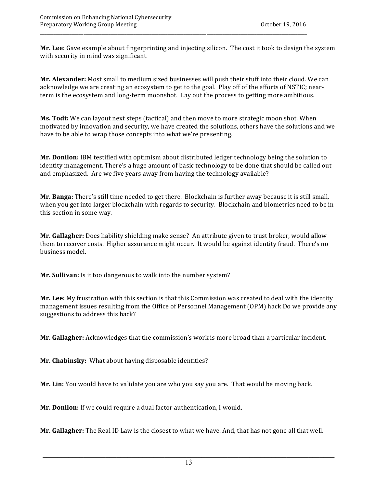Mr. Lee: Gave example about fingerprinting and injecting silicon. The cost it took to design the system with security in mind was significant.

 **Mr. Alexander:** Most small to medium sized businesses will push their stuff into their cloud. We can acknowledge we are creating an ecosystem to get to the goal. Play off of the efforts of NSTIC; nearterm is the ecosystem and long-term moonshot. Lay out the process to getting more ambitious.

 **Ms. Todt:** We can layout next steps (tactical) and then move to more strategic moon shot. When motivated by innovation and security, we have created the solutions, others have the solutions and we have to be able to wrap those concepts into what we're presenting.

Mr. Donilon: IBM testified with optimism about distributed ledger technology being the solution to identity management. There's a huge amount of basic technology to be done that should be called out and emphasized. Are we five years away from having the technology available?

 **Mr. Banga:** There's still time needed to get there. Blockchain is further away because it is still small, when you get into larger blockchain with regards to security. Blockchain and biometrics need to be in  this section in some way.

**Mr. Gallagher:** Does liability shielding make sense? An attribute given to trust broker, would allow them to recover costs. Higher assurance might occur. It would be against identity fraud. There's no  business model.

**Mr. Sullivan:** Is it too dangerous to walk into the number system?

**Mr. Lee:** My frustration with this section is that this Commission was created to deal with the identity management issues resulting from the Office of Personnel Management (OPM) hack Do we provide any suggestions to address this hack?

 **Mr. Gallagher:** Acknowledges that the commission's work is more broad than a particular incident.

 **Mr. Chabinsky:**  What about having disposable identities?

**Mr. Lin:** You would have to validate you are who you say you are. That would be moving back.

**Mr. Donilon:** If we could require a dual factor authentication, I would.

 **Mr. Gallagher:** The Real ID Law is the closest to what we have. And, that has not gone all that well.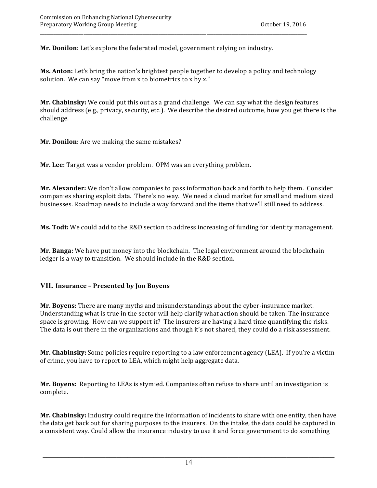**Mr. Donilon:** Let's explore the federated model, government relying on industry.

**Ms. Anton:** Let's bring the nation's brightest people together to develop a policy and technology solution. We can say "move from  $x$  to biometrics to  $x$  by  $x$ ."

**Mr. Chabinsky:** We could put this out as a grand challenge. We can say what the design features should address (e.g., privacy, security, etc.). We describe the desired outcome, how you get there is the challenge.

**Mr. Donilon:** Are we making the same mistakes?

 **Mr. Lee:** Target was a vendor problem. OPM was an everything problem.

 **Mr. Alexander:** We don't allow companies to pass information back and forth to help them. Consider companies sharing exploit data. There's no way. We need a cloud market for small and medium sized businesses. Roadmap needs to include a way forward and the items that we'll still need to address.

**Ms. Todt:** We could add to the R&D section to address increasing of funding for identity management.

**Mr. Banga:** We have put money into the blockchain. The legal environment around the blockchain ledger is a way to transition. We should include in the R&D section.

## **VII. Insurance – Presented by Jon Boyens**

**Mr. Boyens:** There are many myths and misunderstandings about the cyber-insurance market. Understanding what is true in the sector will help clarify what action should be taken. The insurance space is growing. How can we support it? The insurers are having a hard time quantifying the risks. The data is out there in the organizations and though it's not shared, they could do a risk assessment.

**Mr. Chabinsky:** Some policies require reporting to a law enforcement agency (LEA). If you're a victim of crime, you have to report to LEA, which might help aggregate data.

Mr. Boyens: Reporting to LEAs is stymied. Companies often refuse to share until an investigation is complete.

 **Mr. Chabinsky:** Industry could require the information of incidents to share with one entity, then have the data get back out for sharing purposes to the insurers. On the intake, the data could be captured in a consistent way. Could allow the insurance industry to use it and force government to do something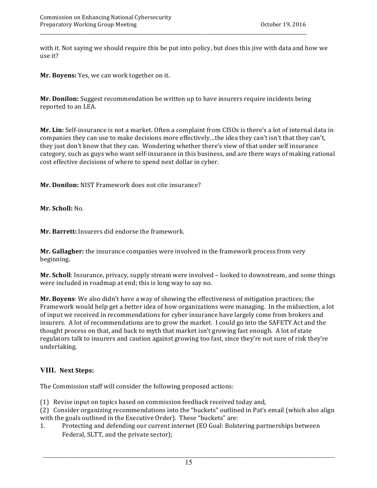with it. Not saying we should require this be put into policy, but does this jive with data and how we use it?

 **Mr. Boyens:** Yes, we can work together on it.

 **Mr. Donilon:** Suggest recommendation be written up to have insurers require incidents being reported to an LEA.

 **Mr. Lin:** Self-insurance is not a market. Often a complaint from CISOs is there's a lot of internal data in companies they can use to make decisions more effectively…the idea they can't isn't that they can't, they just don't know that they can. Wondering whether there's view of that under self insurance category, such as guys who want self-insurance in this business, and are there ways of making rational cost effective decisions of where to spend next dollar in cyber.

 **Mr. Donilon:** NIST Framework does not cite insurance?

 **Mr. Scholl:** No.

 **Mr. Barrett:** Insurers did endorse the framework.

 **Mr. Gallagher:** the insurance companies were involved in the framework process from very beginning.

Mr. Scholl: Insurance, privacy, supply stream were involved - looked to downstream, and some things were included in roadmap at end; this is long way to say no.

Framework would help get a better idea of how organizations were managing. In the midsection, a lot of input we received in recommendations for cyber insurance have largely come from brokers and insurers. A lot of recommendations are to grow the market. I could go into the SAFETY Act and the thought process on that, and back to myth that market isn't growing fast enough. A lot of state regulators talk to insurers and caution against growing too fast, since they're not sure of risk they're **Mr. Boyens**: We also didn't have a way of showing the effectiveness of mitigation practices; the undertaking.

### **VIII. Next Steps:**

The Commission staff will consider the following proposed actions:

- (1) Revise input on topics based on commission feedback received today and,
- (2) Consider organizing recommendations into the "buckets" outlined in Pat's email (which also align with the goals outlined in the Executive Order). These "buckets" are:
- 1. Protecting and defending our current internet (EO Goal: Bolstering partnerships between Federal, SLTT, and the private sector);